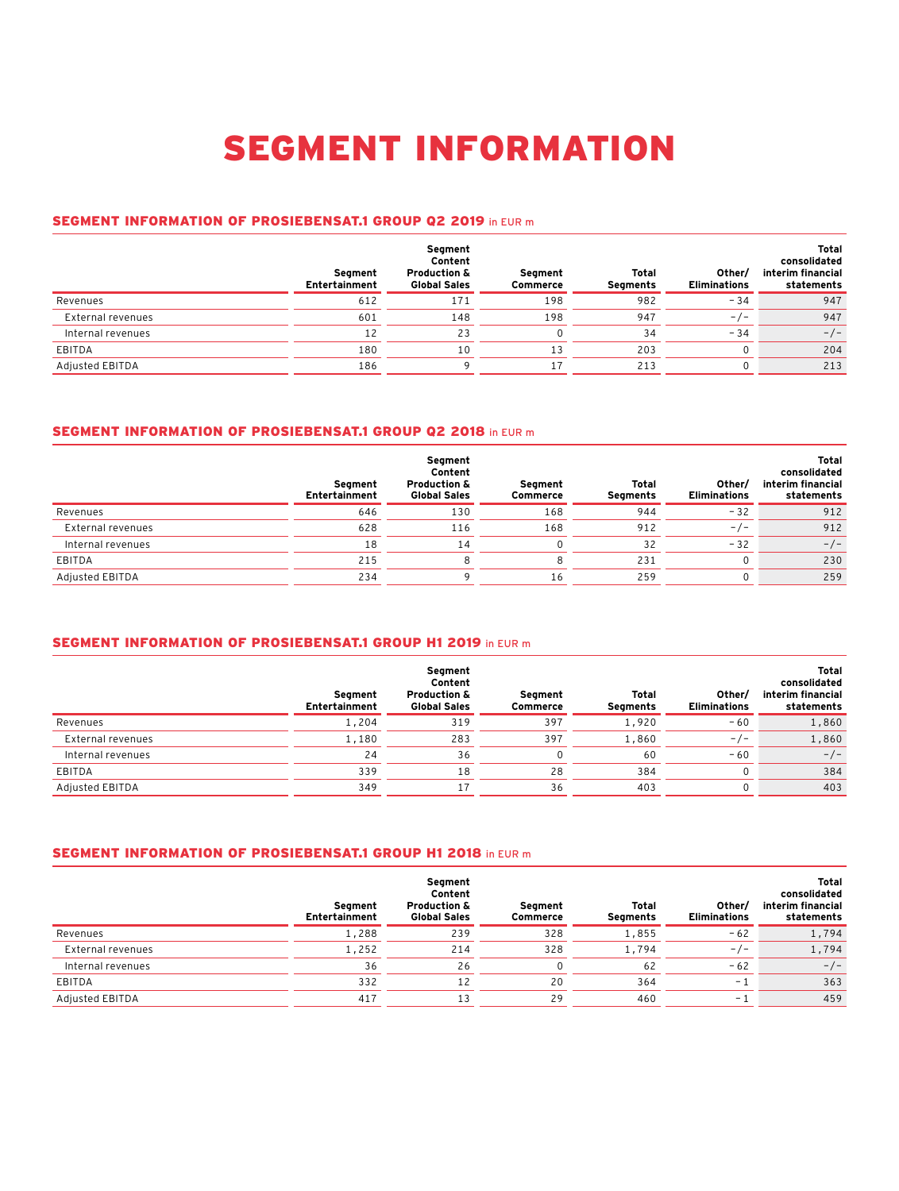# SEGMENT INFORMATION

### SEGMENT INFORMATION OF PROSIEBENSAT.1 GROUP Q2 2019 in EUR m

|                   | Segment<br>Entertainment | Seament<br>Content<br><b>Production &amp;</b><br><b>Global Sales</b> | Segment<br>Commerce | Total<br>Segments | Other/<br><b>Eliminations</b> | Total<br>consolidated<br>interim financial<br>statements |
|-------------------|--------------------------|----------------------------------------------------------------------|---------------------|-------------------|-------------------------------|----------------------------------------------------------|
| Revenues          | 612                      | 171                                                                  | 198                 | 982               | $-34$                         | 947                                                      |
| External revenues | 601                      | 148                                                                  | 198                 | 947               | $-/-$                         | 947                                                      |
| Internal revenues | 12                       | 23                                                                   |                     | 34                | $-34$                         | $-/-$                                                    |
| EBITDA            | 180                      | 10                                                                   | 13                  | 203               |                               | 204                                                      |
| Adjusted EBITDA   | 186                      |                                                                      |                     | 213               |                               | 213                                                      |

## SEGMENT INFORMATION OF PROSIEBENSAT.1 GROUP Q2 2018 in EUR m

|                   | Seament<br><b>Entertainment</b> | Segment<br>Content<br><b>Production &amp;</b><br><b>Global Sales</b> | Seament<br>Commerce | Total<br>Segments | Other/<br><b>Eliminations</b> | Total<br>consolidated<br>interim financial<br>statements |
|-------------------|---------------------------------|----------------------------------------------------------------------|---------------------|-------------------|-------------------------------|----------------------------------------------------------|
| Revenues          | 646                             | 130                                                                  | 168                 | 944               | $-32$                         | 912                                                      |
| External revenues | 628                             | 116                                                                  | 168                 | 912               | $-/-$                         | 912                                                      |
| Internal revenues | 18                              | 14                                                                   |                     | 32                | $-32$                         | $-/-$                                                    |
| EBITDA            | 215                             |                                                                      |                     | 231               |                               | 230                                                      |
| Adjusted EBITDA   | 234                             |                                                                      | 16                  | 259               |                               | 259                                                      |

## SEGMENT INFORMATION OF PROSIEBENSAT.1 GROUP H1 2019 in EUR m

|                   | Seament<br><b>Entertainment</b> | Segment<br>Content<br><b>Production &amp;</b><br><b>Global Sales</b> | Seament<br>Commerce | Total<br>Segments | Other/<br><b>Eliminations</b> | Total<br>consolidated<br>interim financial<br>statements |
|-------------------|---------------------------------|----------------------------------------------------------------------|---------------------|-------------------|-------------------------------|----------------------------------------------------------|
| Revenues          | 1,204                           | 319                                                                  | 397                 | 1,920             | $-60$                         | 1,860                                                    |
| External revenues | 1,180                           | 283                                                                  | 397                 | 1,860             | $-/-$                         | 1,860                                                    |
| Internal revenues | 24                              | 36                                                                   |                     | 60                | $-60$                         | $-/-$                                                    |
| EBITDA            | 339                             | 18                                                                   | 28                  | 384               |                               | 384                                                      |
| Adjusted EBITDA   | 349                             | 17                                                                   | 36                  | 403               |                               | 403                                                      |

#### SEGMENT INFORMATION OF PROSIEBENSAT.1 GROUP H1 2018 in EUR m

|                   | Segment<br><b>Entertainment</b> | Segment<br>Content<br><b>Production &amp;</b><br><b>Global Sales</b> | Segment<br>Commerce | Total<br>Segments | Other/<br><b>Eliminations</b> | Total<br>consolidated<br>interim financial<br>statements |
|-------------------|---------------------------------|----------------------------------------------------------------------|---------------------|-------------------|-------------------------------|----------------------------------------------------------|
| Revenues          | 1,288                           | 239                                                                  | 328                 | 1,855             | $-62$                         | 1,794                                                    |
| External revenues | 1.252                           | 214                                                                  | 328                 | 1.794             | $-1-$                         | 1,794                                                    |
| Internal revenues | 36                              | 26                                                                   |                     | 62                | $-62$                         | $-/-$                                                    |
| <b>EBITDA</b>     | 332                             | 12                                                                   | 20                  | 364               | - 1                           | 363                                                      |
| Adjusted EBITDA   | 417                             | 13                                                                   | 29                  | 460               | - 1                           | 459                                                      |